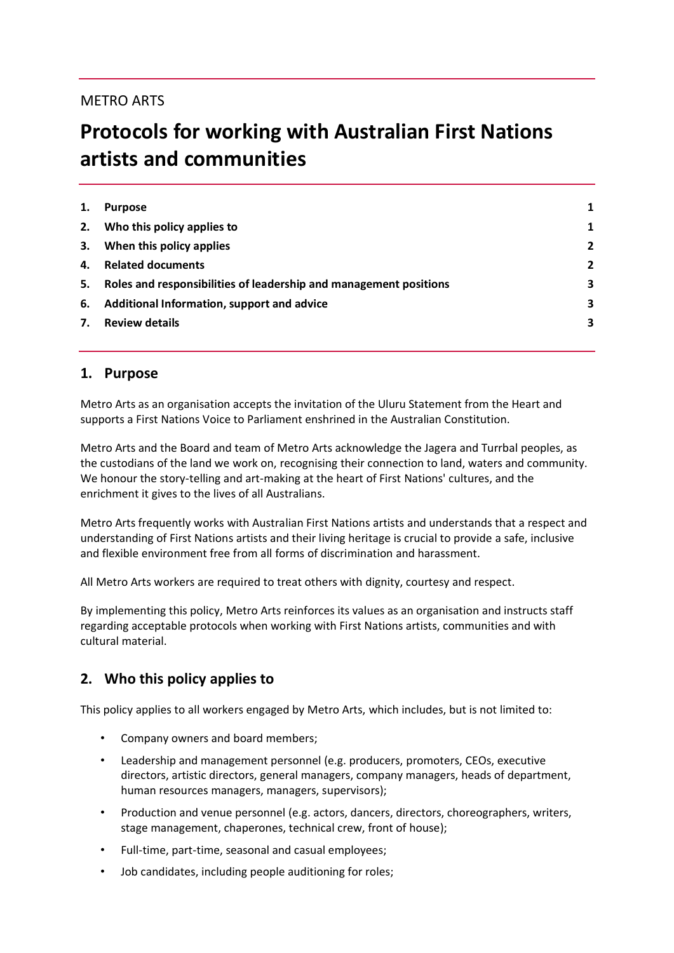# METRO ARTS

# **Protocols for working with Australian First Nations artists and communities**

| 1. | <b>Purpose</b>                                                    |                |
|----|-------------------------------------------------------------------|----------------|
| 2. | Who this policy applies to                                        | 1              |
| 3. | When this policy applies                                          | $\overline{2}$ |
| 4. | <b>Related documents</b>                                          | $\overline{2}$ |
| 5. | Roles and responsibilities of leadership and management positions | 3              |
| 6. | Additional Information, support and advice                        | 3              |
| 7. | <b>Review details</b>                                             | 3              |
|    |                                                                   |                |

#### **1. Purpose**

Metro Arts as an organisation accepts the invitation of the Uluru Statement from the Heart and supports a First Nations Voice to Parliament enshrined in the Australian Constitution.

Metro Arts and the Board and team of Metro Arts acknowledge the Jagera and Turrbal peoples, as the custodians of the land we work on, recognising their connection to land, waters and community. We honour the story-telling and art-making at the heart of First Nations' cultures, and the enrichment it gives to the lives of all Australians.

Metro Arts frequently works with Australian First Nations artists and understands that a respect and understanding of First Nations artists and their living heritage is crucial to provide a safe, inclusive and flexible environment free from all forms of discrimination and harassment.

All Metro Arts workers are required to treat others with dignity, courtesy and respect.

By implementing this policy, Metro Arts reinforces its values as an organisation and instructs staff regarding acceptable protocols when working with First Nations artists, communities and with cultural material.

# **2. Who this policy applies to**

This policy applies to all workers engaged by Metro Arts, which includes, but is not limited to:

- Company owners and board members;
- Leadership and management personnel (e.g. producers, promoters, CEOs, executive directors, artistic directors, general managers, company managers, heads of department, human resources managers, managers, supervisors);
- Production and venue personnel (e.g. actors, dancers, directors, choreographers, writers, stage management, chaperones, technical crew, front of house);
- Full-time, part-time, seasonal and casual employees;
- Job candidates, including people auditioning for roles;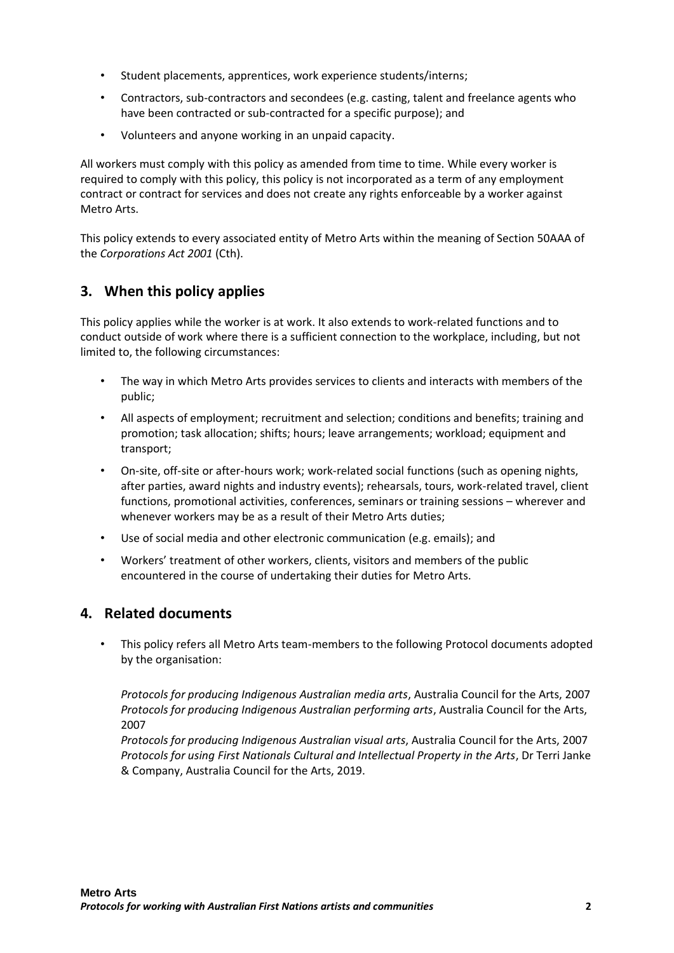- Student placements, apprentices, work experience students/interns;
- Contractors, sub-contractors and secondees (e.g. casting, talent and freelance agents who have been contracted or sub-contracted for a specific purpose); and
- Volunteers and anyone working in an unpaid capacity.

All workers must comply with this policy as amended from time to time. While every worker is required to comply with this policy, this policy is not incorporated as a term of any employment contract or contract for services and does not create any rights enforceable by a worker against Metro Arts.

This policy extends to every associated entity of Metro Arts within the meaning of Section 50AAA of the *Corporations Act 2001* (Cth).

# **3. When this policy applies**

This policy applies while the worker is at work. It also extends to work-related functions and to conduct outside of work where there is a sufficient connection to the workplace, including, but not limited to, the following circumstances:

- The way in which Metro Arts provides services to clients and interacts with members of the public;
- All aspects of employment; recruitment and selection; conditions and benefits; training and promotion; task allocation; shifts; hours; leave arrangements; workload; equipment and transport;
- On-site, off-site or after-hours work; work-related social functions (such as opening nights, after parties, award nights and industry events); rehearsals, tours, work-related travel, client functions, promotional activities, conferences, seminars or training sessions – wherever and whenever workers may be as a result of their Metro Arts duties;
- Use of social media and other electronic communication (e.g. emails); and
- Workers' treatment of other workers, clients, visitors and members of the public encountered in the course of undertaking their duties for Metro Arts.

# **4. Related documents**

• This policy refers all Metro Arts team-members to the following Protocol documents adopted by the organisation:

*Protocols for producing Indigenous Australian media arts*, Australia Council for the Arts, 2007 *Protocols for producing Indigenous Australian performing arts*, Australia Council for the Arts, 2007

*Protocols for producing Indigenous Australian visual arts*, Australia Council for the Arts, 2007 *Protocols for using First Nationals Cultural and Intellectual Property in the Arts*, Dr Terri Janke & Company, Australia Council for the Arts, 2019.